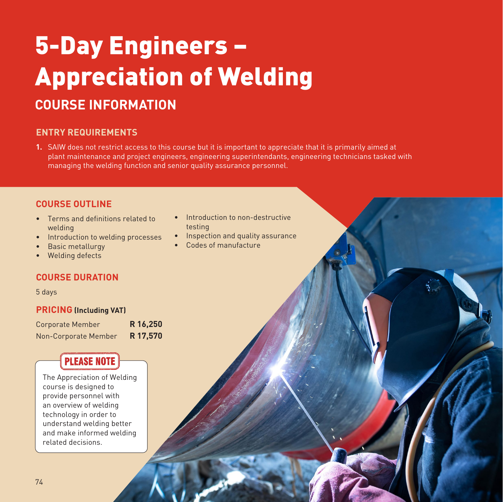# 5-Day Engineers – Appreciation of Welding **COURSE INFORMATION**

### **ENTRY REQUIREMENTS**

**1.** SAIW does not restrict access to this course but it is important to appreciate that it is primarily aimed at plant maintenance and project engineers, engineering superintendants, engineering technicians tasked with managing the welding function and senior quality assurance personnel.

#### **COURSE OUTLINE**

- Terms and definitions related to welding
- Introduction to welding processes
- Basic metallurgy
- Welding defects

#### **COURSE DURATION**

5 days

#### **PRICING (Including VAT)**

Corporate Member **R 16,250** Non-Corporate Member **R 17,570**

## **PLEASE NOTE**

The Appreciation of Welding course is designed to provide personnel with an overview of welding technology in order to understand welding better and make informed welding related decisions.

- Introduction to non-destructive testing
- Inspection and quality assurance
- Codes of manufacture